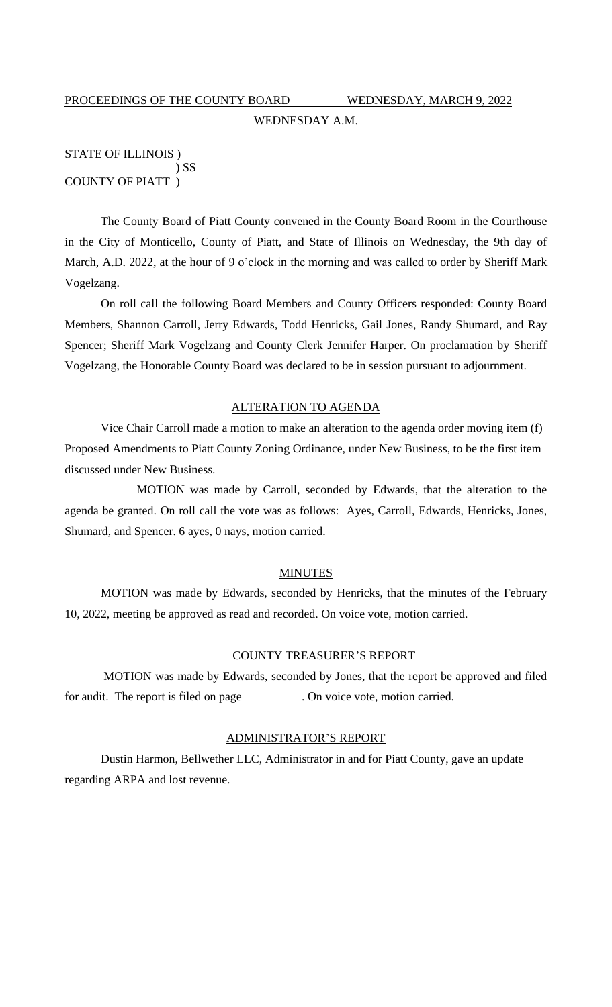# PROCEEDINGS OF THE COUNTY BOARD WEDNESDAY, MARCH 9, 2022 WEDNESDAY A.M.

## STATE OF ILLINOIS ) ) SS COUNTY OF PIATT )

The County Board of Piatt County convened in the County Board Room in the Courthouse in the City of Monticello, County of Piatt, and State of Illinois on Wednesday, the 9th day of March, A.D. 2022, at the hour of 9 o'clock in the morning and was called to order by Sheriff Mark Vogelzang.

On roll call the following Board Members and County Officers responded: County Board Members, Shannon Carroll, Jerry Edwards, Todd Henricks, Gail Jones, Randy Shumard, and Ray Spencer; Sheriff Mark Vogelzang and County Clerk Jennifer Harper. On proclamation by Sheriff Vogelzang, the Honorable County Board was declared to be in session pursuant to adjournment.

## ALTERATION TO AGENDA

Vice Chair Carroll made a motion to make an alteration to the agenda order moving item (f) Proposed Amendments to Piatt County Zoning Ordinance, under New Business, to be the first item discussed under New Business.

MOTION was made by Carroll, seconded by Edwards, that the alteration to the agenda be granted. On roll call the vote was as follows: Ayes, Carroll, Edwards, Henricks, Jones, Shumard, and Spencer. 6 ayes, 0 nays, motion carried.

#### MINUTES

MOTION was made by Edwards, seconded by Henricks, that the minutes of the February 10, 2022, meeting be approved as read and recorded. On voice vote, motion carried.

#### COUNTY TREASURER'S REPORT

MOTION was made by Edwards, seconded by Jones, that the report be approved and filed for audit. The report is filed on page . On voice vote, motion carried.

## ADMINISTRATOR'S REPORT

Dustin Harmon, Bellwether LLC, Administrator in and for Piatt County, gave an update regarding ARPA and lost revenue.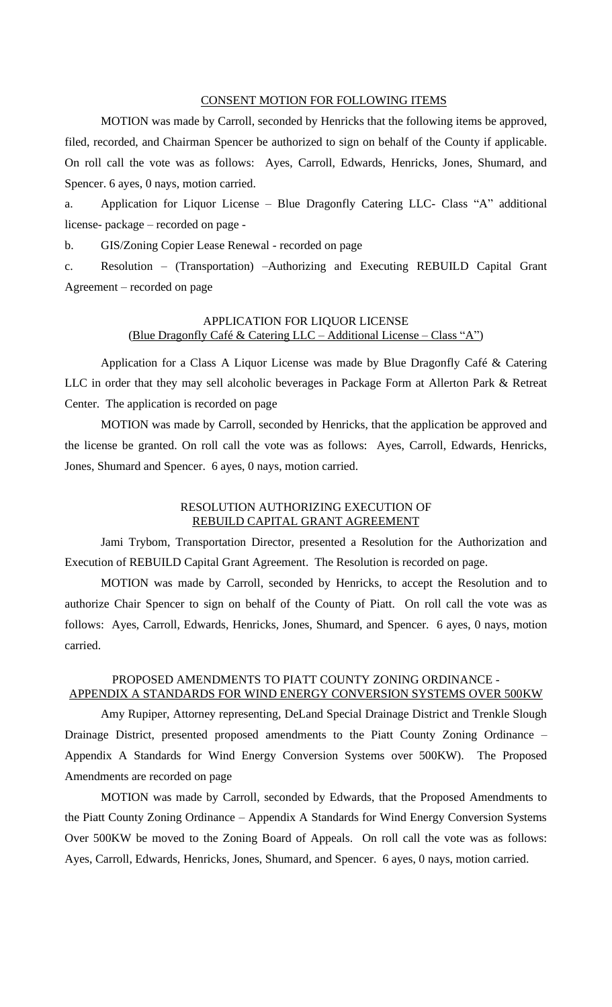#### CONSENT MOTION FOR FOLLOWING ITEMS

MOTION was made by Carroll, seconded by Henricks that the following items be approved, filed, recorded, and Chairman Spencer be authorized to sign on behalf of the County if applicable. On roll call the vote was as follows: Ayes, Carroll, Edwards, Henricks, Jones, Shumard, and Spencer. 6 ayes, 0 nays, motion carried.

a. Application for Liquor License – Blue Dragonfly Catering LLC- Class "A" additional license- package – recorded on page -

b. GIS/Zoning Copier Lease Renewal - recorded on page

c. Resolution – (Transportation) –Authorizing and Executing REBUILD Capital Grant Agreement – recorded on page

## APPLICATION FOR LIQUOR LICENSE (Blue Dragonfly Café & Catering LLC – Additional License – Class "A")

Application for a Class A Liquor License was made by Blue Dragonfly Café & Catering LLC in order that they may sell alcoholic beverages in Package Form at Allerton Park & Retreat Center. The application is recorded on page

MOTION was made by Carroll, seconded by Henricks, that the application be approved and the license be granted. On roll call the vote was as follows: Ayes, Carroll, Edwards, Henricks, Jones, Shumard and Spencer. 6 ayes, 0 nays, motion carried.

## RESOLUTION AUTHORIZING EXECUTION OF REBUILD CAPITAL GRANT AGREEMENT

Jami Trybom, Transportation Director, presented a Resolution for the Authorization and Execution of REBUILD Capital Grant Agreement. The Resolution is recorded on page.

MOTION was made by Carroll, seconded by Henricks, to accept the Resolution and to authorize Chair Spencer to sign on behalf of the County of Piatt. On roll call the vote was as follows: Ayes, Carroll, Edwards, Henricks, Jones, Shumard, and Spencer. 6 ayes, 0 nays, motion carried.

## PROPOSED AMENDMENTS TO PIATT COUNTY ZONING ORDINANCE - APPENDIX A STANDARDS FOR WIND ENERGY CONVERSION SYSTEMS OVER 500KW

Amy Rupiper, Attorney representing, DeLand Special Drainage District and Trenkle Slough Drainage District, presented proposed amendments to the Piatt County Zoning Ordinance – Appendix A Standards for Wind Energy Conversion Systems over 500KW). The Proposed Amendments are recorded on page

MOTION was made by Carroll, seconded by Edwards, that the Proposed Amendments to the Piatt County Zoning Ordinance – Appendix A Standards for Wind Energy Conversion Systems Over 500KW be moved to the Zoning Board of Appeals. On roll call the vote was as follows: Ayes, Carroll, Edwards, Henricks, Jones, Shumard, and Spencer. 6 ayes, 0 nays, motion carried.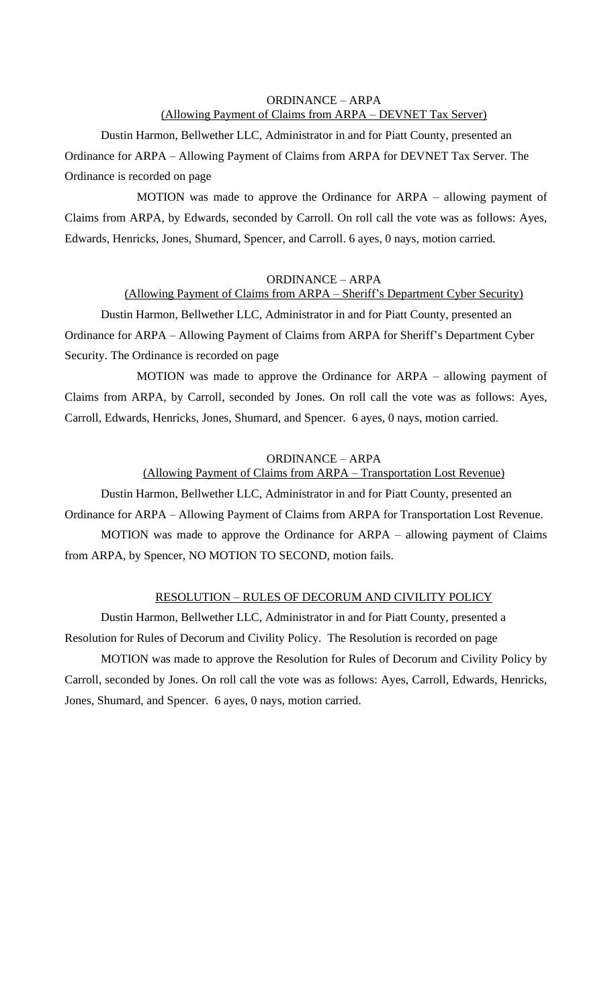## ORDINANCE – ARPA (Allowing Payment of Claims from ARPA – DEVNET Tax Server)

Dustin Harmon, Bellwether LLC, Administrator in and for Piatt County, presented an Ordinance for ARPA – Allowing Payment of Claims from ARPA for DEVNET Tax Server. The Ordinance is recorded on page

MOTION was made to approve the Ordinance for ARPA – allowing payment of Claims from ARPA, by Edwards, seconded by Carroll. On roll call the vote was as follows: Ayes, Edwards, Henricks, Jones, Shumard, Spencer, and Carroll. 6 ayes, 0 nays, motion carried.

#### ORDINANCE – ARPA

## (Allowing Payment of Claims from ARPA – Sheriff's Department Cyber Security)

Dustin Harmon, Bellwether LLC, Administrator in and for Piatt County, presented an Ordinance for ARPA – Allowing Payment of Claims from ARPA for Sheriff's Department Cyber Security. The Ordinance is recorded on page

MOTION was made to approve the Ordinance for ARPA – allowing payment of Claims from ARPA, by Carroll, seconded by Jones. On roll call the vote was as follows: Ayes, Carroll, Edwards, Henricks, Jones, Shumard, and Spencer. 6 ayes, 0 nays, motion carried.

#### ORDINANCE – ARPA

## (Allowing Payment of Claims from ARPA – Transportation Lost Revenue)

Dustin Harmon, Bellwether LLC, Administrator in and for Piatt County, presented an

Ordinance for ARPA – Allowing Payment of Claims from ARPA for Transportation Lost Revenue.

MOTION was made to approve the Ordinance for ARPA – allowing payment of Claims from ARPA, by Spencer, NO MOTION TO SECOND, motion fails.

## RESOLUTION – RULES OF DECORUM AND CIVILITY POLICY

Dustin Harmon, Bellwether LLC, Administrator in and for Piatt County, presented a Resolution for Rules of Decorum and Civility Policy. The Resolution is recorded on page

MOTION was made to approve the Resolution for Rules of Decorum and Civility Policy by Carroll, seconded by Jones. On roll call the vote was as follows: Ayes, Carroll, Edwards, Henricks, Jones, Shumard, and Spencer. 6 ayes, 0 nays, motion carried.